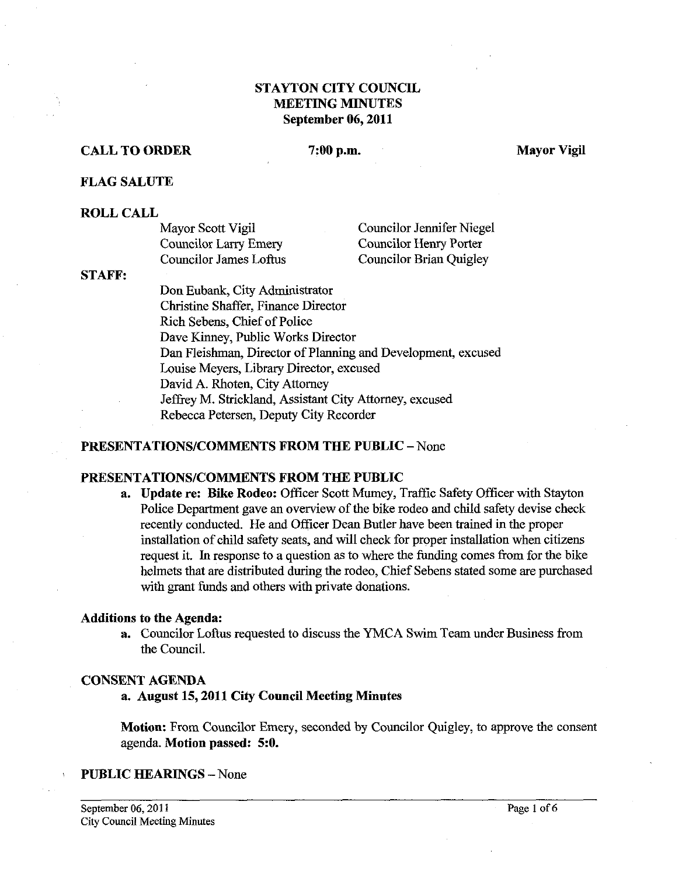# **STAYTON CITY COUNCIL MEETING MINUTES September 06,2011**

# **CALL TO ORDER 7:00 p.m. Mayor Vigil**

#### **FLAG SALUTE**

#### **ROLL CALL**

| Mayor Scott Vigil      | Councilor Jennifer Niegel      |
|------------------------|--------------------------------|
| Councilor Larry Emery  | Councilor Henry Porter         |
| Councilor James Loftus | <b>Councilor Brian Quigley</b> |

#### **STAFF:**

Don Eubank, City Administrator Christine Shaffer, Finance Director Rich Sebens, Chief of Police Dave Kinney, Public Works Director Dan Fleishman, Director of Planning and Development, excused Louise Meyers, Library Director, excused David A. Rhoten, City Attorney Jeffrey M. Strickland, Assistant City Attorney, excused Rebecca Petersen, Deputy City Recorder

## **PRESENTATIONS/COMMENTS FROM THE PUBLIC - None**

#### **PRESENTATIONSICOMMENTS FROM THE PUBLIC**

**a. Update re: Bike Rodeo:** Officer Scott Mumey, Traffic Safety Officer with Stayton Police Department gave an overview of the bike rodeo and child safety devise check recently conducted. He and Officer Dean Butler have been trained in the proper installation of child safety seats, and will check for proper installation when citizens request it. In response to a question as to where the funding comes from for the bike helmets that are distributed during the rodeo, Chief Sebens stated some are purchased with grant funds and others with private donations.

#### **Additions to the Agenda:**

**a.** Councilor Loftus requested to discuss the YMCA Swim Team under Business from the Council.

## **CONSENT AGENDA**

#### **a. August 15,2011 City Council Meeting Minutes**

**Motion:** From Councilor Emery, seconded by Councilor Quigley, to approve the consent agenda. **Motion passed: 5:O.** 

#### **PUBLIC HEARINGS** -None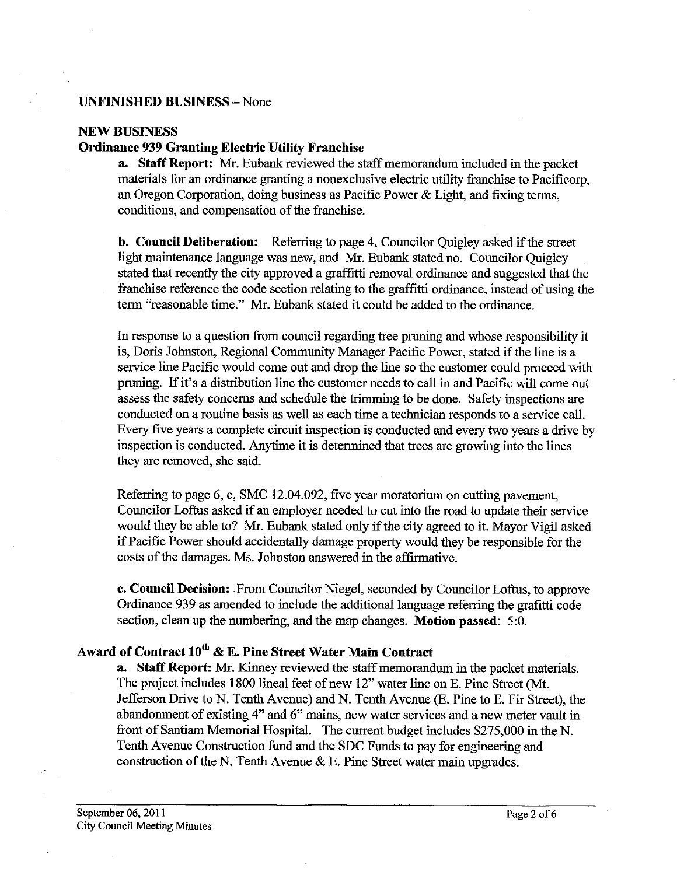#### **UNFINISHED BUSINESS** -None

#### **NEW BUSINESS**

## **Ordinance 939 Granting Electric Utility Franchise**

**a.** Staff Report: Mr. Eubank reviewed the staff memorandum included in the packet materials for an ordinance granting a nonexclusive electric utility franchise to Pacificorp, an Oregon Corporation, doing business as Pacific Power & Light, and fixing terms, conditions, and compensation of the franchise.

**b. Council Deliberation:** Referring to page 4, Councilor Quigley asked if the street light maintenance language was new, and Mr. Eubank stated no. Councilor Quigley stated that recently the city approved a graffitti removal ordinance and suggested that the franchise reference the code section relating to the graffitti ordinance, instead of using the term "reasonable time." Mr. Eubank stated it could be added to the ordinance.

In response to a question from council regarding tree pruning and whose responsibility it is, Doris Johnston, Regional Community Manager Pacific Power, stated if the lime is a service line Pacific would come out and drop the lime so the customer could proceed with pruning. If it's a distribution line the customer needs to call in and Pacific will come out assess the safety concerns and schedule the trimming to be done. Safety inspections are conducted on a routine basis as well as each time a technician responds to a service call. Every five years a complete circuit inspection is conducted and every two years a drive by inspection is conducted. Anytime it is determined that trees are growing into the lines they are removed, she said.

Referring to page 6, c, SMC 12.04.092, five year moratorium on cutting pavement, Councilor Loftus asked if an employer needed to cut into the road to update their service would they be able to? *Mr.* Eubank stated only if the city agreed to it. Mayor Vigil asked if Pacific Power should accidentally damage property would they be responsible for the costs of the damages. Ms. Johnston answered in the affirmative.

**c. Council Decision:** From Councilor Niegel, seconded by Councilor Loftus, to approve Ordinance 939 as amended to include the additional language referring the grafitti code section, clean up the numbering, and the map changes. **Motion passed:** 5:O.

# **Award of Contract 10"** & **E. Pine Street Water Main Contract**

**a. Staff Report: Mr.** Kinney reviewed the staff memorandum in the packet materials. The project includes 1800 lineal feet of new 12" water line on E. Pine Street (Mt. Jefferson Drive to N. Tenth Avenue) and N. Tenth Avenue (E. Pine to E. Fir Street), the abandonment of existing 4" and **6"** mains, new water services and a new meter vault in front of Santiam Memorial Hospital. The current budget includes \$275,000 in the N. Tenth Avenue Construction fund and the SDC Funds to pay for engineering and construction of the N. Tenth Avenue  $\&$  E. Pine Street water main upgrades.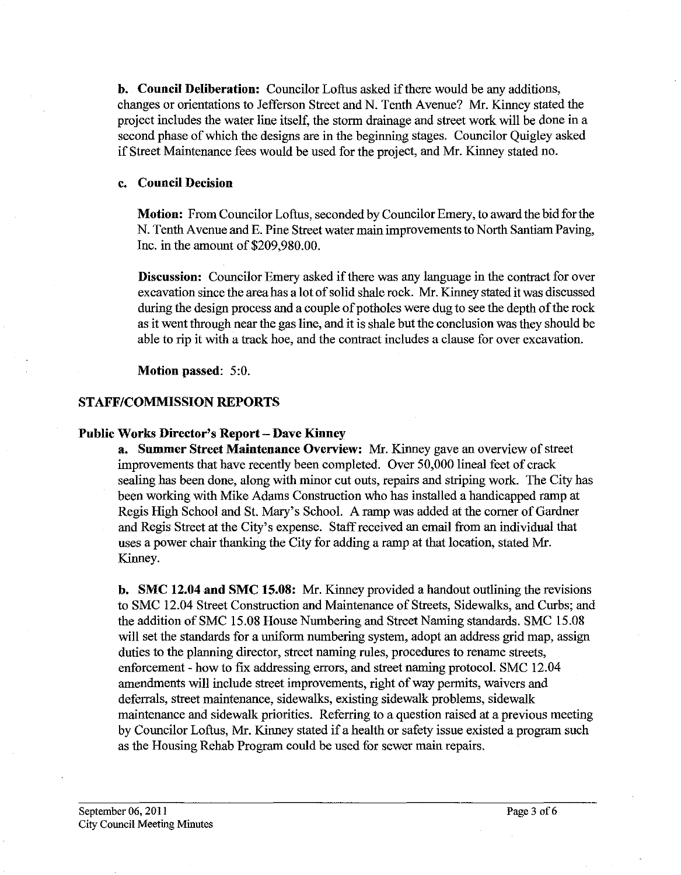**b. Council Deliberation:** Councilor Loftus asked if there would be any additions, changes or orientations to Jefferson Street and N. Tenth Avenue? Mr. Kinney stated the project includes the water line itself, the storm drainage and street work will be done in a second phase of which the designs are in the beginning stages. Councilor Quigley asked if Street Maintenance fees would be used for the project, and Mr. Kinney stated no.

#### **c. Council Decision**

**Motion:** From Councilor Loftus, seconded by Councilor Emery, to award the bid for the N. Tenth Avenue and E. Pine Street water main improvements to North Santiam Paving, Inc. in the amount of \$209,980.00.

**Discussion:** Councilor Emery asked if there was any language in the contract for over excavation since the area has a lot of solid shale rock. Mr. Kinney stated it was discussed during the design process and a couple of potholes were dug to see the depth of the rock as it went through near the gas line, and it is shale but the conclusion was they should be able to rip it with a track hoe, and the contract includes a clause for over excavation.

**Motion passed:** 5:0,

## **STAFFICOMMISSION REPORTS**

## **Public Works Director's Report** - **Dave Kinney**

**a. Summer Street Maintenance Overview: Mr.** Kinney gave an overview of street improvements that have recently been completed. Over 50,000 lineal feet of crack sealing has been done, along with minor cut outs, repairs and striping work. The City has been working with Mike Adams Construction who has installed a handicapped ramp at Regis High School and St. Mary's School. A ramp was added at the corner of Gardner and Regis Street at the City's expense. Staff received an email fiom an individual that uses a power chair thanking the City for adding a ramp at that location, stated Mr. Kinney.

**b. SMC 12.04 and SMC 15.08:** Mr. Kinney provided a handout outlining the revisions to SMC 12.04 Street Construction and Maintenance of Streets, Sidewalks, and Curbs; and the addition of SMC 15.08 House Numbering and Street Naming standards. SMC 15.08 will set the standards for a uniform numbering system, adopt an address grid map, assign duties to the planning director, street naming rules, procedures to rename streets, enforcement - how to fix addressing errors, and street naming protocol. SMC 12.04 amendments will include street improvements, right of way permits, waivers and deferrals, street maintenance, sidewalks, existing sidewalk problems, sidewalk maintenance and sidewalk priorities. Referring to a question raised at a previous meeting by Councilor Loftus, Mr. Kinney stated if a health or safety issue existed a program such as the Housing Rehab Program could be used for sewer main repairs.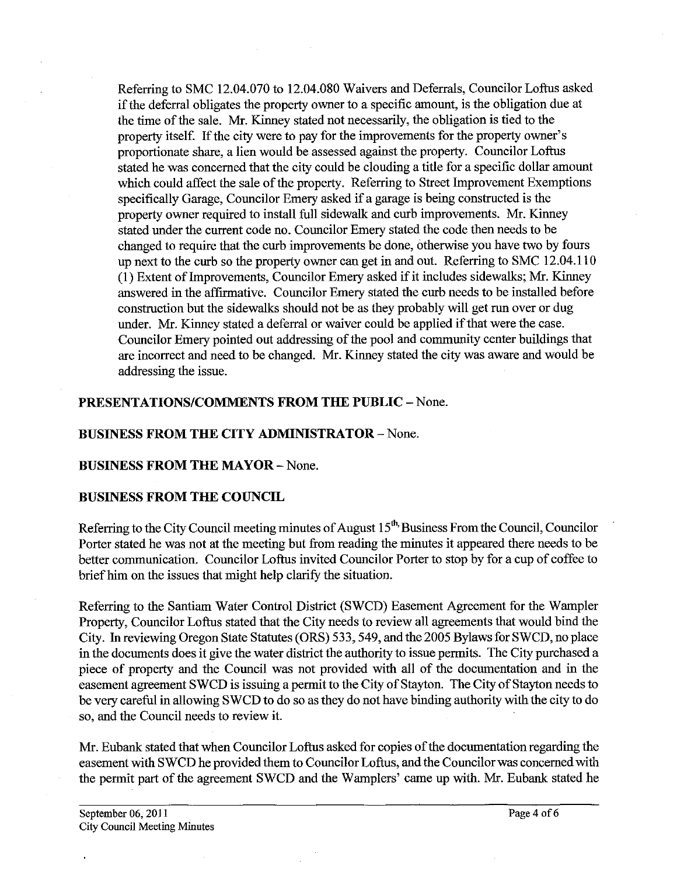Referring to SMC 12.04.070 to 12.04.080 Waivers and Deferrals, Councilor Loftus asked if the deferral obligates the property owner to a specific amount, is the obligation due at the time of the sale. Mr. Kinney stated not necessarily, the obligation is tied to the property itself. If the city were to pay for the improvements for the property owner's proportionate share, a lien would be assessed against the property. Councilor Loftus stated he was concerned that the city could be clouding a title for a specific dollar amount which could affect the sale of the property. Referring to Street Improvement Exemptions specifically Garage, Councilor Emery asked if a garage is being constructed is the property owner required to install full sidewalk and curb improvements. Mr. Kinney stated under the current code no. Councilor Emery stated the code then needs to be changed to require that the curb improvements be done, otherwise you have two by fours up next to the curb so the property owner can get in and out. Referring to SMC 12.04.1 10 (1) Extent of Improvements, Councilor Emery asked if it includes sidewalks; Mr. Kinney answered in the affirmative. Councilor Emery stated the curb needs to be installed before construction but the sidewalks should not be as they probably will get run over or dug under. Mr. Kinney stated a deferral or waiver could be applied if that were the case. Councilor Emery pointed out addressing of the pool and community center buildings that are incorrect and need to be changed. Mr. Kinney stated the city was aware and would be addressing the issue.

## **PRESENTATIONS/COMMENTS FROM THE PUBLIC - None.**

## **BUSINESS FROM THE CITY ADMINISTRATOR** - None.

## **BUSINESS PROM THE MAYOR** - None.

#### **BUSINESS PROM THE COUNCIL**

Referring to the City Council meeting minutes of August  $15<sup>th</sup>$  Business From the Council, Councilor Porter stated he was not at the meeting but from reading the minutes it appeared there needs to be better communication. Councilor Loftus invited Councilor Porter to stop by for a cup of coffee to brief him on the issues that might help clarify the situation.

Referring to the Santiam Water Control District (SWCD) Easement Agreement for the Wampler Property, Councilor Loftus stated that the City needs to review all agreements that would bind the City. In reviewing Oregon State Statutes (ORS) 533,549, and the 2005 Bylaws for SWCD, no place in the documents does it give the water district the authority to issue permits. The City purchased a piece of property and the Council was not provided with all of the documentation and in the easement agreement SWCD is issuing a permit to the City of Stayton. The City of Stayton needs to be very careful in allowing SWCD to do so as they do not have binding authority with the city to do so, and the Council needs to review it.

Mr. Eubank stated that when Councilor Loftus asked for copies of the documentation regarding the easement with SWCD he provided them to Councilor Loftus, and the Councilor was concerned with the permit part of the agreement SWCD and the Wamplers' came up with. Mr. Eubank stated he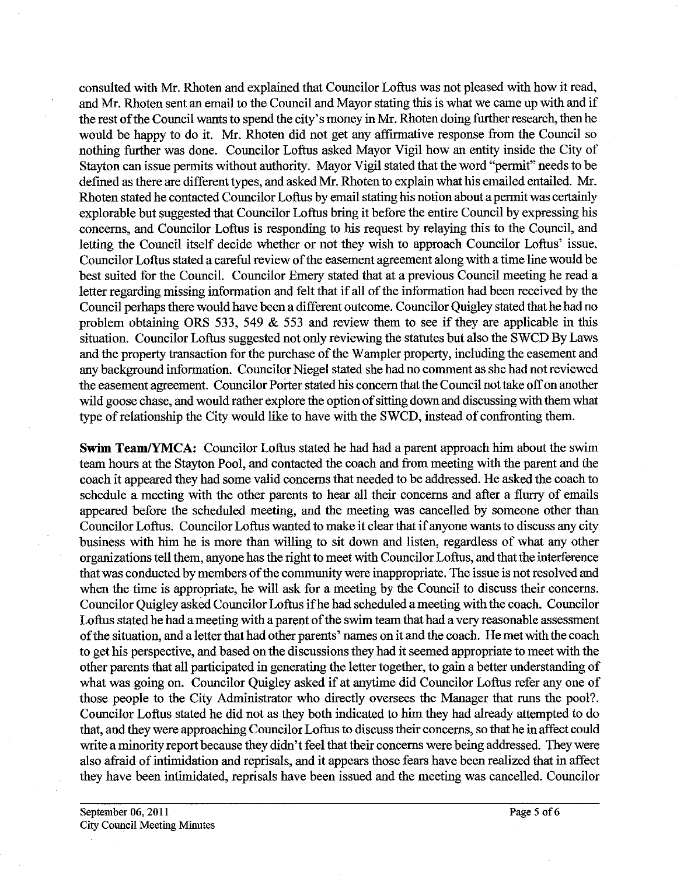consulted with Mr. Rhoten and explained that Councilor Loftus was not pleased with how it read, and Mr. Rhoten sent an email to the Council and Mayor stating this is what we came up with and if the rest of the Council wants to spend the city's money in Mr. Rhoten doing further research, then he would be happy to do it. Mr. Rhoten did not get any affirmative response from the Council so nothing further was done. Councilor Loftus asked Mayor Vigil how an entity inside the City of Stayton can issue permits without authority. Mayor Vigil stated that the word "permit" needs to be defined as there are different types, and asked Mr. Rhoten to explain what his emailed entailed. Mr. Rhoten stated he contacted Councilor Loftus by email stating his notion about apermit was certainly explorable but suggested that Councilor Loftus bring it before the entire Council by expressing his concems, and Councilor Loftus is responding to his request by relaying this to the Council, and letting the Council itself decide whether or not they wish to approach Councilor Loftus' issue. Councilor Loftus stated a careful review of the easement agreement along with a time line would be best suited for the Council. Councilor Emery stated that at a previous Council meeting he read a letter regarding missing information and felt that if all of the information had been received by the Council perhaps there would have been a different outcome. Councilor Quigley stated that he had no problem obtaining ORS 533, 549  $\&$  553 and review them to see if they are applicable in this situation. Councilor Loftus suggested not only reviewing the statutes but also the SWCD By Laws and the property transaction for the purchase of the Wampler property, including the easement and any background information. Councilor Niegel stated she had no comment as she had not reviewed the easement agreement. Councilor Porter stated his concern that the Council not take off on another wild goose chase, and would rather explore the option of sitting down and discussing with them what type of relationship the City would like to have with the SWCD, instead of confronting them.

**Swim Team/YMCA:** Councilor Loftus stated he had had a parent approach him about the swim team hours at the Stayton Pool, and contacted the coach and from meeting with the parent and the coach it appeared they had some valid concerns that needed to be addressed. He asked the coach to schedule a meeting with the other parents to hear all their concerns and after a flurry of emails appeared before the scheduled meeting, and the meeting was cancelled by someone other than Councilor Loftus. Councilor Loftus wanted to make it clear that if anyone wants to discuss any city business with him he is more than willimg to sit down and listen, regardless of what any other organizations tell them, anyone has the right to meet with Councilor Loftus, and that the interference that was conducted by members of the community were inappropriate. The issue is not resolved and when the time is appropriate, he will ask for a meeting by the Council to discuss their concerns. Councilor Quigley asked Councilor Loftus if he had scheduled a meeting with the coach. Councilor Loftus stated he had a meeting with a parent of the swim team that had a very reasonable assessment of the situation, and a letter that had other parents' names on it and the coach. He met with the coach to get his perspective, and based on the discussions they had it seemed appropriate to meet with the other parents that all participated in generating the letter together, to gain a better understanding of what was going on. Councilor Quigley asked if at anytime did Councilor Loftus refer any one of those people to the City Administrator who directly oversees the Manager that runs the pool?. Councilor Loftus stated he did not as they both indicated to him they had already attempted to do that, and they were approaching Councilor Loftus to discuss their concems, so that he in affect could write aminority report because they didn't feel that their concerns were being addressed. They were also afraid of intimidation and reprisals, and it appears those fears have been realized that in affect they have been intimidated, reprisals have been issued and the meeting was cancelled. Councilor